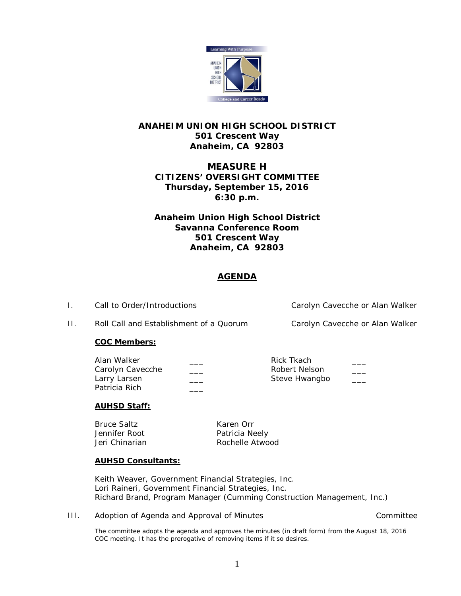

# **ANAHEIM UNION HIGH SCHOOL DISTRICT 501 Crescent Way Anaheim, CA 92803**

# **MEASURE H CITIZENS' OVERSIGHT COMMITTEE Thursday, September 15, 2016 6:30 p.m.**

**Anaheim Union High School District Savanna Conference Room 501 Crescent Way Anaheim, CA 92803**

# **AGENDA**

I. Call to Order/Introductions Carolyn Cavecche or Alan Walker

II. Roll Call and Establishment of a Quorum Carolyn Cavecche or Alan Walker

## **COC Members:**

| Alan Walker      | Rick Tkach    |  |
|------------------|---------------|--|
| Carolyn Cavecche | Robert Nelson |  |
| Larry Larsen     | Steve Hwangbo |  |
| Patricia Rich    |               |  |

## **AUHSD Staff:**

Bruce Saltz Karen Orr Jennifer Root **Patricia Neely** 

Jeri Chinarian **Rochelle Atwood** 

## **AUHSD Consultants:**

Keith Weaver, Government Financial Strategies, Inc. Lori Raineri, Government Financial Strategies, Inc. Richard Brand, Program Manager (Cumming Construction Management, Inc.)

III. Adoption of Agenda and Approval of Minutes and Committee committee

The committee adopts the agenda and approves the minutes (in draft form) from the August 18, 2016 COC meeting. It has the prerogative of removing items if it so desires.